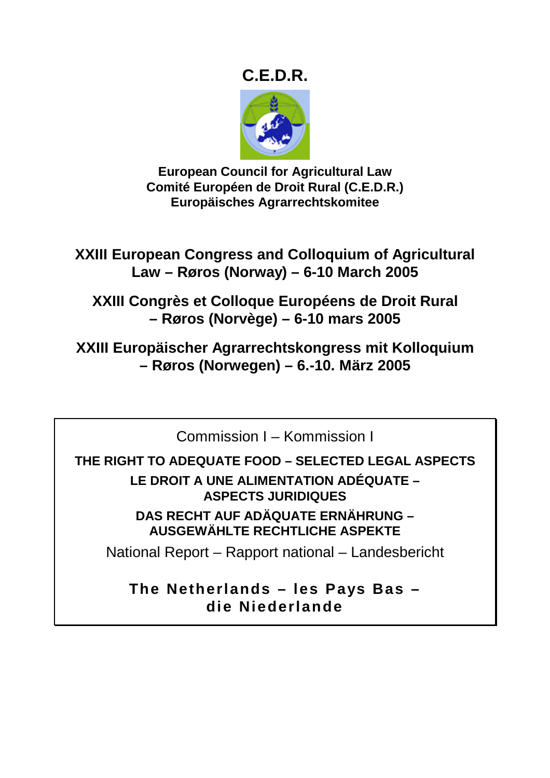# **C.E.D.R.**



**European Council for Agricultural Law Comité Européen de Droit Rural (C.E.D.R.) Europäisches Agrarrechtskomitee** 

**XXIII European Congress and Colloquium of Agricultural Law – Røros (Norway) – 6-10 March 2005** 

**XXIII Congrès et Colloque Européens de Droit Rural – Røros (Norvège) – 6-10 mars 2005** 

**XXIII Europäischer Agrarrechtskongress mit Kolloquium – Røros (Norwegen) – 6.-10. März 2005** 

Commission I – Kommission I

**THE RIGHT TO ADEQUATE FOOD – SELECTED LEGAL ASPECTS** 

**LE DROIT A UNE ALIMENTATION ADÉQUATE – ASPECTS JURIDIQUES DAS RECHT AUF ADÄQUATE ERNÄHRUNG –** 

**AUSGEWÄHLTE RECHTLICHE ASPEKTE** 

National Report – Rapport national – Landesbericht

**The Netherlands – les Pays Bas – die Niederlande**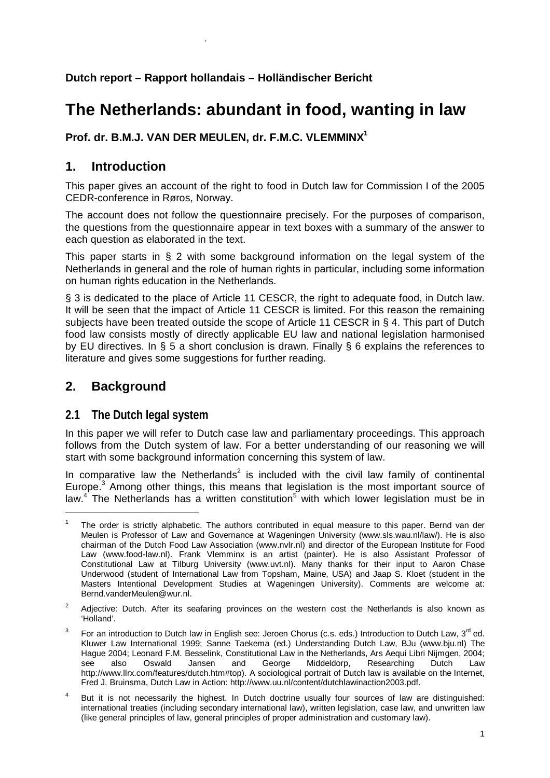**Dutch report – Rapport hollandais – Holländischer Bericht** 

# **The Netherlands: abundant in food, wanting in law**

**Prof. dr. B.M.J. VAN DER MEULEN, dr. F.M.C. VLEMMINX1**

# **1. Introduction**

.

This paper gives an account of the right to food in Dutch law for Commission I of the 2005 CEDR-conference in Røros, Norway.

The account does not follow the questionnaire precisely. For the purposes of comparison, the questions from the questionnaire appear in text boxes with a summary of the answer to each question as elaborated in the text.

This paper starts in § 2 with some background information on the legal system of the Netherlands in general and the role of human rights in particular, including some information on human rights education in the Netherlands.

§ 3 is dedicated to the place of Article 11 CESCR, the right to adequate food, in Dutch law. It will be seen that the impact of Article 11 CESCR is limited. For this reason the remaining subjects have been treated outside the scope of Article 11 CESCR in § 4. This part of Dutch food law consists mostly of directly applicable EU law and national legislation harmonised by EU directives. In § 5 a short conclusion is drawn. Finally § 6 explains the references to literature and gives some suggestions for further reading.

# **2. Background**

# **2.1 The Dutch legal system**

In this paper we will refer to Dutch case law and parliamentary proceedings. This approach follows from the Dutch system of law. For a better understanding of our reasoning we will start with some background information concerning this system of law.

In comparative law the Netherlands<sup>2</sup> is included with the civil law family of continental Europe.<sup>3</sup> Among other things, this means that legislation is the most important source of law.<sup>4</sup> The Netherlands has a written constitution<sup>5</sup> with which lower legislation must be in

<sup>1</sup> The order is strictly alphabetic. The authors contributed in equal measure to this paper. Bernd van der Meulen is Professor of Law and Governance at Wageningen University (www.sls.wau.nl/law/). He is also chairman of the Dutch Food Law Association (www.nvlr.nl) and director of the European Institute for Food Law (www.food-law.nl). Frank Vlemminx is an artist (painter). He is also Assistant Professor of Constitutional Law at Tilburg University (www.uvt.nl). Many thanks for their input to Aaron Chase Underwood (student of International Law from Topsham, Maine, USA) and Jaap S. Kloet (student in the Masters Intentional Development Studies at Wageningen University). Comments are welcome at: Bernd.vanderMeulen@wur.nl.

 $\overline{2}$  Adjective: Dutch. After its seafaring provinces on the western cost the Netherlands is also known as 'Holland'.

<sup>3</sup> For an introduction to Dutch law in English see: Jeroen Chorus (c.s. eds.) Introduction to Dutch Law, 3<sup>rd</sup> ed. Kluwer Law International 1999; Sanne Taekema (ed.) Understanding Dutch Law, BJu (www.bju.nl) The Hague 2004; Leonard F.M. Besselink, Constitutional Law in the Netherlands, Ars Aequi Libri Nijmgen, 2004; see also Oswald Jansen and George Middeldorp, Researching Dutch Law http://www.llrx.com/features/dutch.htm#top). A sociological portrait of Dutch law is available on the Internet, Fred J. Bruinsma, Dutch Law in Action: http://www.uu.nl/content/dutchlawinaction2003.pdf.

<sup>4</sup> But it is not necessarily the highest. In Dutch doctrine usually four sources of law are distinguished: international treaties (including secondary international law), written legislation, case law, and unwritten law (like general principles of law, general principles of proper administration and customary law).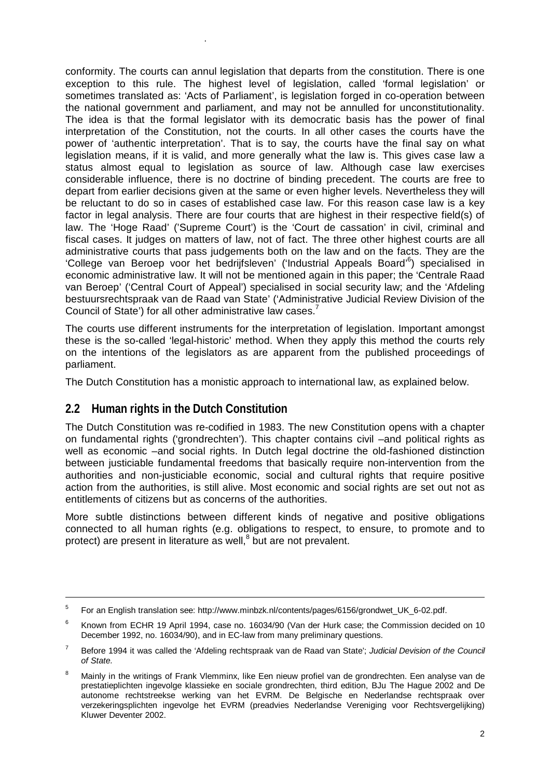conformity. The courts can annul legislation that departs from the constitution. There is one exception to this rule. The highest level of legislation, called 'formal legislation' or sometimes translated as: 'Acts of Parliament', is legislation forged in co-operation between the national government and parliament, and may not be annulled for unconstitutionality. The idea is that the formal legislator with its democratic basis has the power of final interpretation of the Constitution, not the courts. In all other cases the courts have the power of 'authentic interpretation'. That is to say, the courts have the final say on what legislation means, if it is valid, and more generally what the law is. This gives case law a status almost equal to legislation as source of law. Although case law exercises considerable influence, there is no doctrine of binding precedent. The courts are free to depart from earlier decisions given at the same or even higher levels. Nevertheless they will be reluctant to do so in cases of established case law. For this reason case law is a key factor in legal analysis. There are four courts that are highest in their respective field(s) of law. The 'Hoge Raad' ('Supreme Court') is the 'Court de cassation' in civil, criminal and fiscal cases. It judges on matters of law, not of fact. The three other highest courts are all administrative courts that pass judgements both on the law and on the facts. They are the 'College van Beroep voor het bedrijfsleven' ('Industrial Appeals Board'<sup>6</sup>) specialised in economic administrative law. It will not be mentioned again in this paper; the 'Centrale Raad van Beroep' ('Central Court of Appeal') specialised in social security law; and the 'Afdeling bestuursrechtspraak van de Raad van State' ('Administrative Judicial Review Division of the Council of State') for all other administrative law cases.<sup>7</sup>

The courts use different instruments for the interpretation of legislation. Important amongst these is the so-called 'legal-historic' method. When they apply this method the courts rely on the intentions of the legislators as are apparent from the published proceedings of parliament.

The Dutch Constitution has a monistic approach to international law, as explained below.

## **2.2 Human rights in the Dutch Constitution**

.

The Dutch Constitution was re-codified in 1983. The new Constitution opens with a chapter on fundamental rights ('grondrechten'). This chapter contains civil –and political rights as well as economic –and social rights. In Dutch legal doctrine the old-fashioned distinction between justiciable fundamental freedoms that basically require non-intervention from the authorities and non-justiciable economic, social and cultural rights that require positive action from the authorities, is still alive. Most economic and social rights are set out not as entitlements of citizens but as concerns of the authorities.

More subtle distinctions between different kinds of negative and positive obligations connected to all human rights (e.g. obligations to respect, to ensure, to promote and to protect) are present in literature as well,<sup>8</sup> but are not prevalent.

<sup>-&</sup>lt;br>5 For an English translation see: http://www.minbzk.nl/contents/pages/6156/grondwet\_UK\_6-02.pdf.

<sup>6</sup> Known from ECHR 19 April 1994, case no. 16034/90 (Van der Hurk case; the Commission decided on 10 December 1992, no. 16034/90), and in EC-law from many preliminary questions.

<sup>7</sup> Before 1994 it was called the 'Afdeling rechtspraak van de Raad van State'; *Judicial Devision of the Council of State.* 

<sup>8</sup> Mainly in the writings of Frank Vlemminx, like Een nieuw profiel van de grondrechten. Een analyse van de prestatieplichten ingevolge klassieke en sociale grondrechten, third edition, BJu The Hague 2002 and De autonome rechtstreekse werking van het EVRM. De Belgische en Nederlandse rechtspraak over verzekeringsplichten ingevolge het EVRM (preadvies Nederlandse Vereniging voor Rechtsvergelijking) Kluwer Deventer 2002.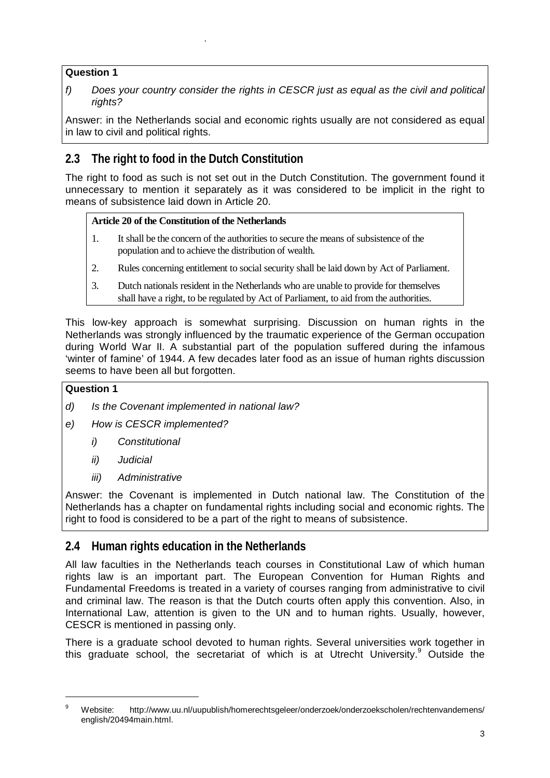### **Question 1**

.

*f) Does your country consider the rights in CESCR just as equal as the civil and political rights?* 

Answer: in the Netherlands social and economic rights usually are not considered as equal in law to civil and political rights.

# **2.3 The right to food in the Dutch Constitution**

The right to food as such is not set out in the Dutch Constitution. The government found it unnecessary to mention it separately as it was considered to be implicit in the right to means of subsistence laid down in Article 20.

### **Article 20 of the Constitution of the Netherlands**

- 1. It shall be the concern of the authorities to secure the means of subsistence of the population and to achieve the distribution of wealth.
- 2. Rules concerning entitlement to social security shall be laid down by Act of Parliament.
- 3. Dutch nationals resident in the Netherlands who are unable to provide for themselves shall have a right, to be regulated by Act of Parliament, to aid from the authorities.

This low-key approach is somewhat surprising. Discussion on human rights in the Netherlands was strongly influenced by the traumatic experience of the German occupation during World War II. A substantial part of the population suffered during the infamous 'winter of famine' of 1944. A few decades later food as an issue of human rights discussion seems to have been all but forgotten.

### **Question 1**

-

- *d) Is the Covenant implemented in national law?*
- *e) How is CESCR implemented?* 
	- *i) Constitutional*
	- *ii) Judicial*
	- *iii) Administrative*

Answer: the Covenant is implemented in Dutch national law. The Constitution of the Netherlands has a chapter on fundamental rights including social and economic rights. The right to food is considered to be a part of the right to means of subsistence.

# **2.4 Human rights education in the Netherlands**

All law faculties in the Netherlands teach courses in Constitutional Law of which human rights law is an important part. The European Convention for Human Rights and Fundamental Freedoms is treated in a variety of courses ranging from administrative to civil and criminal law. The reason is that the Dutch courts often apply this convention. Also, in International Law, attention is given to the UN and to human rights. Usually, however, CESCR is mentioned in passing only.

There is a graduate school devoted to human rights. Several universities work together in this graduate school, the secretariat of which is at Utrecht University.<sup>9</sup> Outside the

<sup>9</sup> Website: http://www.uu.nl/uupublish/homerechtsgeleer/onderzoek/onderzoekscholen/rechtenvandemens/ english/20494main.html.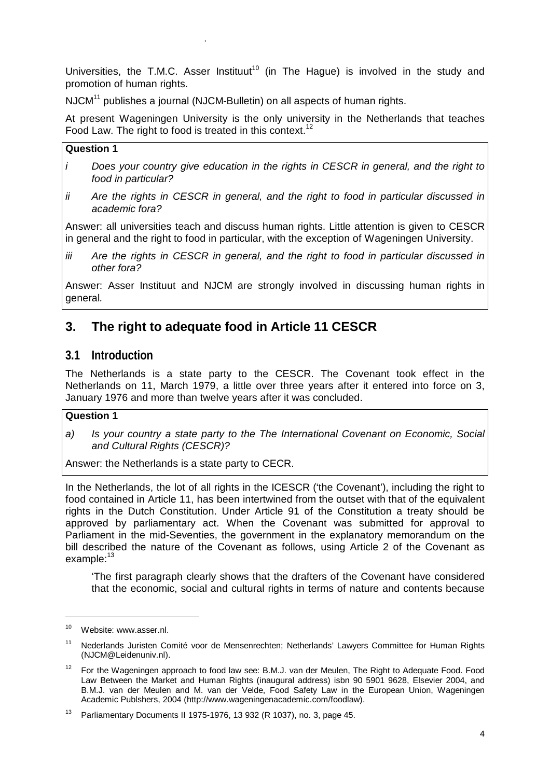Universities, the T.M.C. Asser Instituut<sup>10</sup> (in The Hague) is involved in the study and promotion of human rights.

NJCM<sup>11</sup> publishes a journal (NJCM-Bulletin) on all aspects of human rights.

At present Wageningen University is the only university in the Netherlands that teaches Food Law. The right to food is treated in this context.<sup>12</sup>

#### **Question 1**

.

- *i Does your country give education in the rights in CESCR in general, and the right to food in particular?*
- *ii Are the rights in CESCR in general, and the right to food in particular discussed in academic fora?*

Answer: all universities teach and discuss human rights. Little attention is given to CESCR in general and the right to food in particular, with the exception of Wageningen University.

*iii Are the rights in CESCR in general, and the right to food in particular discussed in other fora?* 

Answer: Asser Instituut and NJCM are strongly involved in discussing human rights in general*.*

# **3. The right to adequate food in Article 11 CESCR**

## **3.1 Introduction**

The Netherlands is a state party to the CESCR. The Covenant took effect in the Netherlands on 11, March 1979, a little over three years after it entered into force on 3, January 1976 and more than twelve years after it was concluded.

### **Question 1**

*a) Is your country a state party to the The International Covenant on Economic, Social and Cultural Rights (CESCR)?* 

Answer: the Netherlands is a state party to CECR.

In the Netherlands, the lot of all rights in the ICESCR ('the Covenant'), including the right to food contained in Article 11, has been intertwined from the outset with that of the equivalent rights in the Dutch Constitution. Under Article 91 of the Constitution a treaty should be approved by parliamentary act. When the Covenant was submitted for approval to Parliament in the mid-Seventies, the government in the explanatory memorandum on the bill described the nature of the Covenant as follows, using Article 2 of the Covenant as example:<sup>13</sup>

'The first paragraph clearly shows that the drafters of the Covenant have considered that the economic, social and cultural rights in terms of nature and contents because

<sup>10</sup> Website: www.asser.nl.

<sup>&</sup>lt;sup>11</sup> Nederlands Juristen Comité voor de Mensenrechten; Netherlands' Lawyers Committee for Human Rights (NJCM@Leidenuniv.nl).

<sup>&</sup>lt;sup>12</sup> For the Wageningen approach to food law see: B.M.J. van der Meulen, The Right to Adequate Food. Food Law Between the Market and Human Rights (inaugural address) isbn 90 5901 9628, Elsevier 2004, and B.M.J. van der Meulen and M. van der Velde, Food Safety Law in the European Union, Wageningen Academic Publshers, 2004 (http://www.wageningenacademic.com/foodlaw).

<sup>&</sup>lt;sup>13</sup> Parliamentary Documents II 1975-1976, 13 932 (R 1037), no. 3, page 45.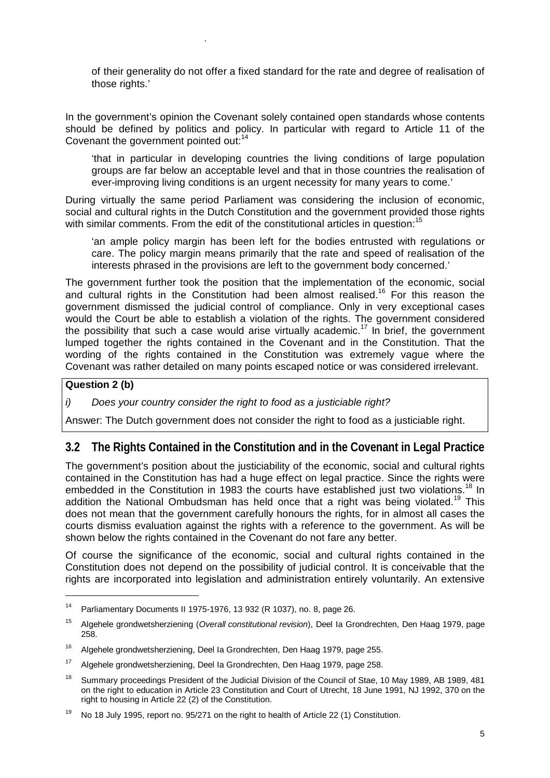of their generality do not offer a fixed standard for the rate and degree of realisation of those rights.'

In the government's opinion the Covenant solely contained open standards whose contents should be defined by politics and policy. In particular with regard to Article 11 of the Covenant the government pointed out:<sup>14</sup>

'that in particular in developing countries the living conditions of large population groups are far below an acceptable level and that in those countries the realisation of ever-improving living conditions is an urgent necessity for many years to come.'

During virtually the same period Parliament was considering the inclusion of economic, social and cultural rights in the Dutch Constitution and the government provided those rights with similar comments. From the edit of the constitutional articles in question:<sup>15</sup>

'an ample policy margin has been left for the bodies entrusted with regulations or care. The policy margin means primarily that the rate and speed of realisation of the interests phrased in the provisions are left to the government body concerned.'

The government further took the position that the implementation of the economic, social and cultural rights in the Constitution had been almost realised.<sup>16</sup> For this reason the government dismissed the judicial control of compliance. Only in very exceptional cases would the Court be able to establish a violation of the rights. The government considered the possibility that such a case would arise virtually academic.<sup>17</sup> In brief, the government lumped together the rights contained in the Covenant and in the Constitution. That the wording of the rights contained in the Constitution was extremely vague where the Covenant was rather detailed on many points escaped notice or was considered irrelevant.

### **Question 2 (b)**

.

*i) Does your country consider the right to food as a justiciable right?* 

Answer: The Dutch government does not consider the right to food as a justiciable right.

## **3.2 The Rights Contained in the Constitution and in the Covenant in Legal Practice**

The government's position about the justiciability of the economic, social and cultural rights contained in the Constitution has had a huge effect on legal practice. Since the rights were embedded in the Constitution in 1983 the courts have established just two violations.<sup>18</sup> In addition the National Ombudsman has held once that a right was being violated.<sup>19</sup> This does not mean that the government carefully honours the rights, for in almost all cases the courts dismiss evaluation against the rights with a reference to the government. As will be shown below the rights contained in the Covenant do not fare any better.

Of course the significance of the economic, social and cultural rights contained in the Constitution does not depend on the possibility of judicial control. It is conceivable that the rights are incorporated into legislation and administration entirely voluntarily. An extensive

<sup>14</sup> Parliamentary Documents II 1975-1976, 13 932 (R 1037), no. 8, page 26.

<sup>15</sup> Algehele grondwetsherziening (*Overall constitutional revision*), Deel Ia Grondrechten, Den Haag 1979, page 258.

<sup>&</sup>lt;sup>16</sup> Algehele grondwetsherziening, Deel Ia Grondrechten, Den Haag 1979, page 255.

<sup>17</sup> Algehele grondwetsherziening, Deel Ia Grondrechten, Den Haag 1979, page 258.

<sup>&</sup>lt;sup>18</sup> Summary proceedings President of the Judicial Division of the Council of Stae, 10 May 1989, AB 1989, 481 on the right to education in Article 23 Constitution and Court of Utrecht, 18 June 1991, NJ 1992, 370 on the right to housing in Article 22 (2) of the Constitution.

<sup>&</sup>lt;sup>19</sup> No 18 July 1995, report no. 95/271 on the right to health of Article 22 (1) Constitution.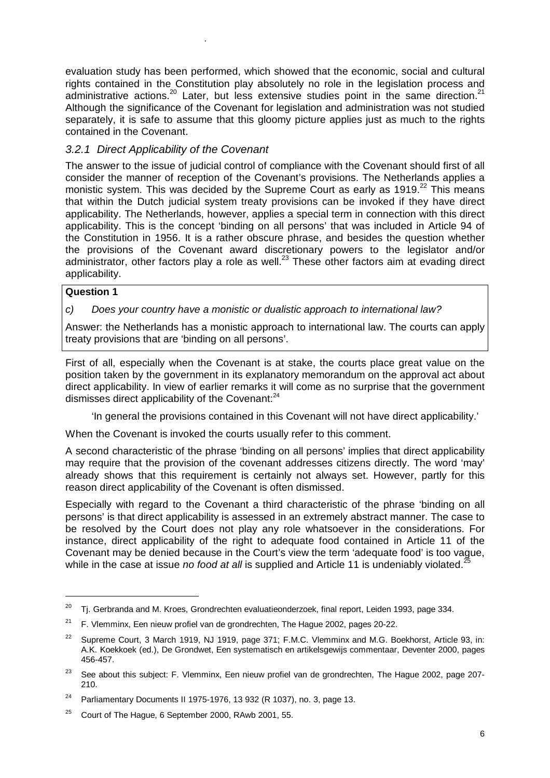evaluation study has been performed, which showed that the economic, social and cultural rights contained in the Constitution play absolutely no role in the legislation process and administrative actions.<sup>20</sup> Later, but less extensive studies point in the same direction.<sup>21</sup> Although the significance of the Covenant for legislation and administration was not studied separately, it is safe to assume that this gloomy picture applies just as much to the rights contained in the Covenant.

## *3.2.1 Direct Applicability of the Covenant*

.

The answer to the issue of judicial control of compliance with the Covenant should first of all consider the manner of reception of the Covenant's provisions. The Netherlands applies a monistic system. This was decided by the Supreme Court as early as  $1919.<sup>22</sup>$  This means that within the Dutch judicial system treaty provisions can be invoked if they have direct applicability. The Netherlands, however, applies a special term in connection with this direct applicability. This is the concept 'binding on all persons' that was included in Article 94 of the Constitution in 1956. It is a rather obscure phrase, and besides the question whether the provisions of the Covenant award discretionary powers to the legislator and/or administrator, other factors play a role as well.<sup>23</sup> These other factors aim at evading direct applicability.

#### **Question 1**

 $\overline{a}$ 

*c) Does your country have a monistic or dualistic approach to international law?* 

Answer: the Netherlands has a monistic approach to international law. The courts can apply treaty provisions that are 'binding on all persons'.

First of all, especially when the Covenant is at stake, the courts place great value on the position taken by the government in its explanatory memorandum on the approval act about direct applicability. In view of earlier remarks it will come as no surprise that the government dismisses direct applicability of the Covenant:<sup>24</sup>

'In general the provisions contained in this Covenant will not have direct applicability.'

When the Covenant is invoked the courts usually refer to this comment.

A second characteristic of the phrase 'binding on all persons' implies that direct applicability may require that the provision of the covenant addresses citizens directly. The word 'may' already shows that this requirement is certainly not always set. However, partly for this reason direct applicability of the Covenant is often dismissed.

Especially with regard to the Covenant a third characteristic of the phrase 'binding on all persons' is that direct applicability is assessed in an extremely abstract manner. The case to be resolved by the Court does not play any role whatsoever in the considerations. For instance, direct applicability of the right to adequate food contained in Article 11 of the Covenant may be denied because in the Court's view the term 'adequate food' is too vague, while in the case at issue *no food at all* is supplied and Article 11 is undeniably violated.<sup>2</sup>

 $20$  Tj. Gerbranda and M. Kroes, Grondrechten evaluatieonderzoek, final report, Leiden 1993, page 334.

 $21$  F. Vlemminx, Een nieuw profiel van de grondrechten, The Hague 2002, pages 20-22.

Supreme Court, 3 March 1919, NJ 1919, page 371; F.M.C. Vlemminx and M.G. Boekhorst, Article 93, in: A.K. Koekkoek (ed.), De Grondwet, Een systematisch en artikelsgewijs commentaar, Deventer 2000, pages 456-457.

<sup>&</sup>lt;sup>23</sup> See about this subject: F. Vlemminx, Een nieuw profiel van de grondrechten, The Hague 2002, page 207-210.

<sup>&</sup>lt;sup>24</sup> Parliamentary Documents II 1975-1976, 13 932 (R 1037), no. 3, page 13,

 $25$  Court of The Hague, 6 September 2000, RAwb 2001, 55.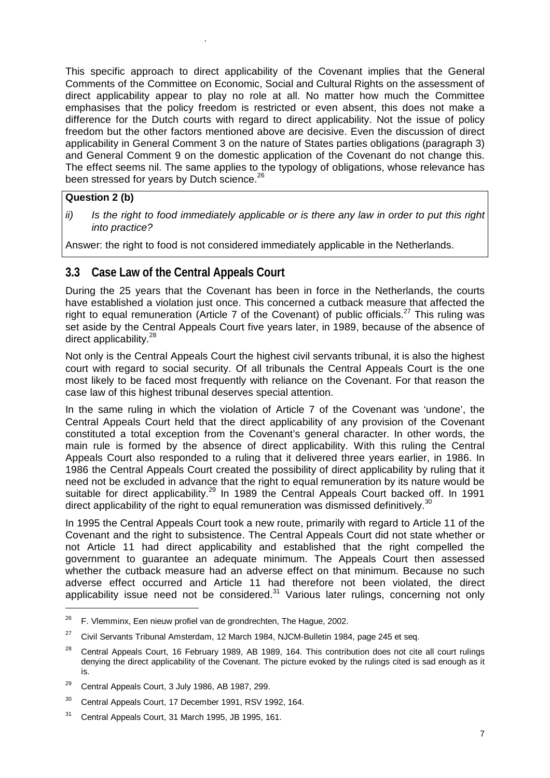This specific approach to direct applicability of the Covenant implies that the General Comments of the Committee on Economic, Social and Cultural Rights on the assessment of direct applicability appear to play no role at all. No matter how much the Committee emphasises that the policy freedom is restricted or even absent, this does not make a difference for the Dutch courts with regard to direct applicability. Not the issue of policy freedom but the other factors mentioned above are decisive. Even the discussion of direct applicability in General Comment 3 on the nature of States parties obligations (paragraph 3) and General Comment 9 on the domestic application of the Covenant do not change this. The effect seems nil. The same applies to the typology of obligations, whose relevance has been stressed for years by Dutch science.<sup>26</sup>

### **Question 2 (b)**

-

.

*ii) Is the right to food immediately applicable or is there any law in order to put this right into practice?* 

Answer: the right to food is not considered immediately applicable in the Netherlands.

# **3.3 Case Law of the Central Appeals Court**

During the 25 years that the Covenant has been in force in the Netherlands, the courts have established a violation just once. This concerned a cutback measure that affected the right to equal remuneration (Article 7 of the Covenant) of public officials.<sup>27</sup> This ruling was set aside by the Central Appeals Court five years later, in 1989, because of the absence of direct applicability.<sup>28</sup>

Not only is the Central Appeals Court the highest civil servants tribunal, it is also the highest court with regard to social security. Of all tribunals the Central Appeals Court is the one most likely to be faced most frequently with reliance on the Covenant. For that reason the case law of this highest tribunal deserves special attention.

In the same ruling in which the violation of Article 7 of the Covenant was 'undone', the Central Appeals Court held that the direct applicability of any provision of the Covenant constituted a total exception from the Covenant's general character. In other words, the main rule is formed by the absence of direct applicability. With this ruling the Central Appeals Court also responded to a ruling that it delivered three years earlier, in 1986. In 1986 the Central Appeals Court created the possibility of direct applicability by ruling that it need not be excluded in advance that the right to equal remuneration by its nature would be suitable for direct applicability.<sup>29</sup> In 1989 the Central Appeals Court backed off. In 1991 direct applicability of the right to equal remuneration was dismissed definitively.<sup>30</sup>

In 1995 the Central Appeals Court took a new route, primarily with regard to Article 11 of the Covenant and the right to subsistence. The Central Appeals Court did not state whether or not Article 11 had direct applicability and established that the right compelled the government to guarantee an adequate minimum. The Appeals Court then assessed whether the cutback measure had an adverse effect on that minimum. Because no such adverse effect occurred and Article 11 had therefore not been violated, the direct applicability issue need not be considered. $31$  Various later rulings, concerning not only

 $26$  F. Vlemminx, Een nieuw profiel van de grondrechten, The Hague, 2002.

 $27$  Civil Servants Tribunal Amsterdam, 12 March 1984, NJCM-Bulletin 1984, page 245 et seg.

<sup>&</sup>lt;sup>28</sup> Central Appeals Court, 16 February 1989, AB 1989, 164. This contribution does not cite all court rulings denying the direct applicability of the Covenant. The picture evoked by the rulings cited is sad enough as it is.

<sup>29</sup> Central Appeals Court, 3 July 1986, AB 1987, 299.

<sup>30</sup> Central Appeals Court, 17 December 1991, RSV 1992, 164.

<sup>31</sup> Central Appeals Court, 31 March 1995, JB 1995, 161.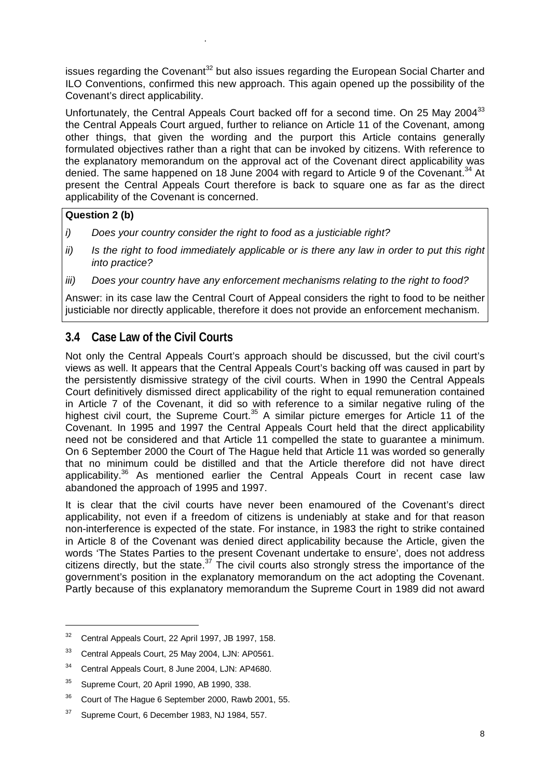issues regarding the Covenant<sup>32</sup> but also issues regarding the European Social Charter and ILO Conventions, confirmed this new approach. This again opened up the possibility of the Covenant's direct applicability.

Unfortunately, the Central Appeals Court backed off for a second time. On 25 Mav 2004<sup>33</sup> the Central Appeals Court argued, further to reliance on Article 11 of the Covenant, among other things, that given the wording and the purport this Article contains generally formulated objectives rather than a right that can be invoked by citizens. With reference to the explanatory memorandum on the approval act of the Covenant direct applicability was denied. The same happened on 18 June 2004 with regard to Article 9 of the Covenant.<sup>34</sup> At present the Central Appeals Court therefore is back to square one as far as the direct applicability of the Covenant is concerned.

### **Question 2 (b)**

.

- *i) Does your country consider the right to food as a justiciable right?*
- *ii*) Is the right to food immediately applicable or is there any law in order to put this right *into practice?*
- *iii) Does your country have any enforcement mechanisms relating to the right to food?*

Answer: in its case law the Central Court of Appeal considers the right to food to be neither justiciable nor directly applicable, therefore it does not provide an enforcement mechanism.

# **3.4 Case Law of the Civil Courts**

Not only the Central Appeals Court's approach should be discussed, but the civil court's views as well. It appears that the Central Appeals Court's backing off was caused in part by the persistently dismissive strategy of the civil courts. When in 1990 the Central Appeals Court definitively dismissed direct applicability of the right to equal remuneration contained in Article 7 of the Covenant, it did so with reference to a similar negative ruling of the highest civil court, the Supreme Court.<sup>35</sup> A similar picture emerges for Article 11 of the Covenant. In 1995 and 1997 the Central Appeals Court held that the direct applicability need not be considered and that Article 11 compelled the state to guarantee a minimum. On 6 September 2000 the Court of The Hague held that Article 11 was worded so generally that no minimum could be distilled and that the Article therefore did not have direct applicability.<sup>36</sup> As mentioned earlier the Central Appeals Court in recent case law abandoned the approach of 1995 and 1997.

It is clear that the civil courts have never been enamoured of the Covenant's direct applicability, not even if a freedom of citizens is undeniably at stake and for that reason non-interference is expected of the state. For instance, in 1983 the right to strike contained in Article 8 of the Covenant was denied direct applicability because the Article, given the words 'The States Parties to the present Covenant undertake to ensure', does not address citizens directly, but the state.<sup>37</sup> The civil courts also strongly stress the importance of the government's position in the explanatory memorandum on the act adopting the Covenant. Partly because of this explanatory memorandum the Supreme Court in 1989 did not award

<sup>32</sup> Central Appeals Court, 22 April 1997, JB 1997, 158.

<sup>33</sup> Central Appeals Court, 25 May 2004, LJN: AP0561.

<sup>34</sup> Central Appeals Court, 8 June 2004, LJN: AP4680.

<sup>35</sup> Supreme Court, 20 April 1990, AB 1990, 338.

<sup>&</sup>lt;sup>36</sup> Court of The Hague 6 September 2000, Rawb 2001, 55.

 $37$  Supreme Court, 6 December 1983, NJ 1984, 557.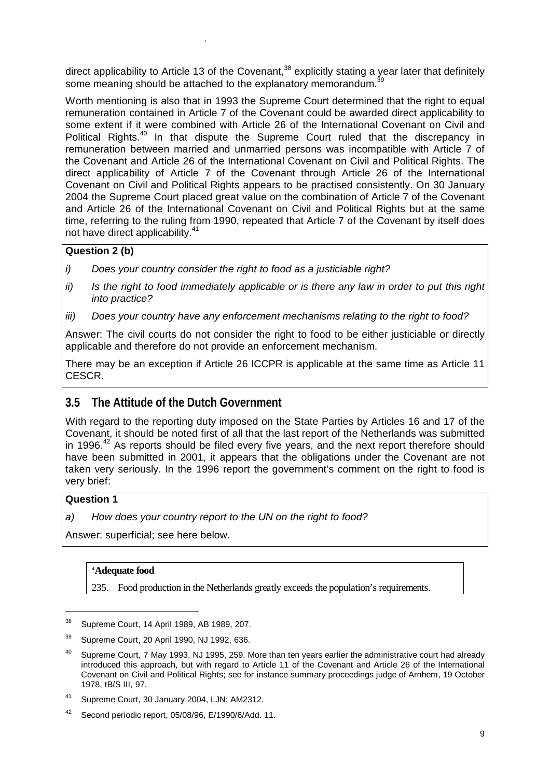direct applicability to Article 13 of the Covenant,<sup>38</sup> explicitly stating a year later that definitely some meaning should be attached to the explanatory memorandum.

Worth mentioning is also that in 1993 the Supreme Court determined that the right to equal remuneration contained in Article 7 of the Covenant could be awarded direct applicability to some extent if it were combined with Article 26 of the International Covenant on Civil and Political Rights.<sup>40</sup> In that dispute the Supreme Court ruled that the discrepancy in remuneration between married and unmarried persons was incompatible with Article 7 of the Covenant and Article 26 of the International Covenant on Civil and Political Rights. The direct applicability of Article 7 of the Covenant through Article 26 of the International Covenant on Civil and Political Rights appears to be practised consistently. On 30 January 2004 the Supreme Court placed great value on the combination of Article 7 of the Covenant and Article 26 of the International Covenant on Civil and Political Rights but at the same time, referring to the ruling from 1990, repeated that Article 7 of the Covenant by itself does not have direct applicability.<sup>41</sup>

### **Question 2 (b)**

.

- *i) Does your country consider the right to food as a justiciable right?*
- *ii*) Is the right to food immediately applicable or is there any law in order to put this right *into practice?*
- *iii) Does your country have any enforcement mechanisms relating to the right to food?*

Answer: The civil courts do not consider the right to food to be either justiciable or directly applicable and therefore do not provide an enforcement mechanism.

There may be an exception if Article 26 ICCPR is applicable at the same time as Article 11 CESCR.

## **3.5 The Attitude of the Dutch Government**

With regard to the reporting duty imposed on the State Parties by Articles 16 and 17 of the Covenant, it should be noted first of all that the last report of the Netherlands was submitted in 1996.<sup>42</sup> As reports should be filed every five years, and the next report therefore should have been submitted in 2001, it appears that the obligations under the Covenant are not taken very seriously. In the 1996 report the government's comment on the right to food is very brief:

#### **Question 1**

*a) How does your country report to the UN on the right to food?* 

Answer: superficial; see here below.

#### **'Adequate food**

235. Food production in the Netherlands greatly exceeds the population's requirements.

<sup>38</sup> Supreme Court, 14 April 1989, AB 1989, 207.

<sup>39</sup> Supreme Court, 20 April 1990, NJ 1992, 636.

<sup>&</sup>lt;sup>40</sup> Supreme Court, 7 May 1993, NJ 1995, 259. More than ten years earlier the administrative court had already introduced this approach, but with regard to Article 11 of the Covenant and Article 26 of the International Covenant on Civil and Political Rights; see for instance summary proceedings judge of Arnhem, 19 October 1978, tB/S III, 97.

<sup>41</sup> Supreme Court, 30 January 2004, LJN: AM2312.

 $42$  Second periodic report, 05/08/96, E/1990/6/Add, 11.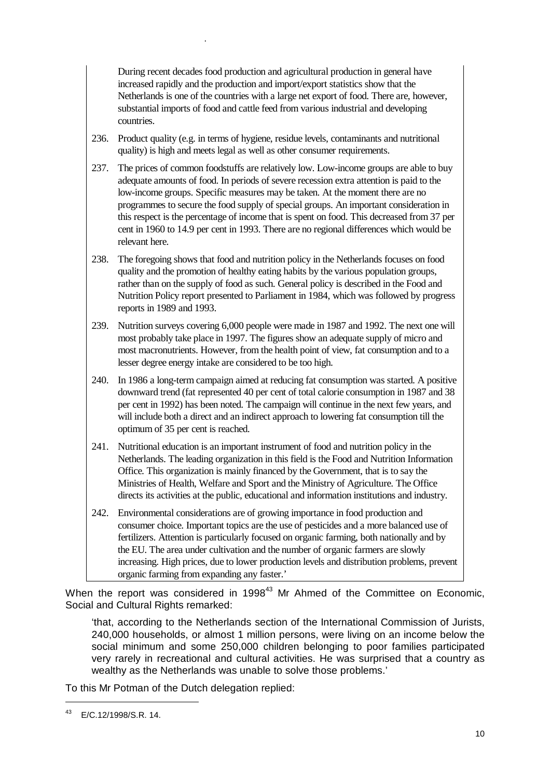During recent decades food production and agricultural production in general have increased rapidly and the production and import/export statistics show that the Netherlands is one of the countries with a large net export of food. There are, however, substantial imports of food and cattle feed from various industrial and developing countries.

236. Product quality (e.g. in terms of hygiene, residue levels, contaminants and nutritional quality) is high and meets legal as well as other consumer requirements.

.

- 237. The prices of common foodstuffs are relatively low. Low-income groups are able to buy adequate amounts of food. In periods of severe recession extra attention is paid to the low-income groups. Specific measures may be taken. At the moment there are no programmes to secure the food supply of special groups. An important consideration in this respect is the percentage of income that is spent on food. This decreased from 37 per cent in 1960 to 14.9 per cent in 1993. There are no regional differences which would be relevant here.
- 238. The foregoing shows that food and nutrition policy in the Netherlands focuses on food quality and the promotion of healthy eating habits by the various population groups, rather than on the supply of food as such. General policy is described in the Food and Nutrition Policy report presented to Parliament in 1984, which was followed by progress reports in 1989 and 1993.
- 239. Nutrition surveys covering 6,000 people were made in 1987 and 1992. The next one will most probably take place in 1997. The figures show an adequate supply of micro and most macronutrients. However, from the health point of view, fat consumption and to a lesser degree energy intake are considered to be too high.
- 240. In 1986 a long-term campaign aimed at reducing fat consumption was started. A positive downward trend (fat represented 40 per cent of total calorie consumption in 1987 and 38 per cent in 1992) has been noted. The campaign will continue in the next few years, and will include both a direct and an indirect approach to lowering fat consumption till the optimum of 35 per cent is reached.
- 241. Nutritional education is an important instrument of food and nutrition policy in the Netherlands. The leading organization in this field is the Food and Nutrition Information Office. This organization is mainly financed by the Government, that is to say the Ministries of Health, Welfare and Sport and the Ministry of Agriculture. The Office directs its activities at the public, educational and information institutions and industry.
- 242. Environmental considerations are of growing importance in food production and consumer choice. Important topics are the use of pesticides and a more balanced use of fertilizers. Attention is particularly focused on organic farming, both nationally and by the EU. The area under cultivation and the number of organic farmers are slowly increasing. High prices, due to lower production levels and distribution problems, prevent organic farming from expanding any faster.'

When the report was considered in 1998 $43$  Mr Ahmed of the Committee on Economic. Social and Cultural Rights remarked:

'that, according to the Netherlands section of the International Commission of Jurists, 240,000 households, or almost 1 million persons, were living on an income below the social minimum and some 250,000 children belonging to poor families participated very rarely in recreational and cultural activities. He was surprised that a country as wealthy as the Netherlands was unable to solve those problems.'

To this Mr Potman of the Dutch delegation replied:

<sup>43</sup> E/C.12/1998/S.R. 14.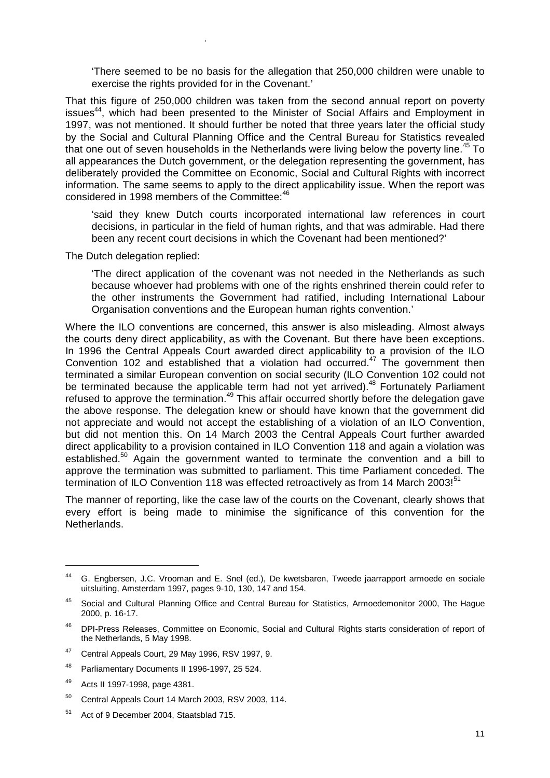'There seemed to be no basis for the allegation that 250,000 children were unable to exercise the rights provided for in the Covenant.'

That this figure of 250,000 children was taken from the second annual report on poverty issues<sup>44</sup>, which had been presented to the Minister of Social Affairs and Employment in 1997, was not mentioned. It should further be noted that three years later the official study by the Social and Cultural Planning Office and the Central Bureau for Statistics revealed that one out of seven households in the Netherlands were living below the poverty line.<sup>45</sup> To all appearances the Dutch government, or the delegation representing the government, has deliberately provided the Committee on Economic, Social and Cultural Rights with incorrect information. The same seems to apply to the direct applicability issue. When the report was considered in 1998 members of the Committee:<sup>46</sup>

'said they knew Dutch courts incorporated international law references in court decisions, in particular in the field of human rights, and that was admirable. Had there been any recent court decisions in which the Covenant had been mentioned?'

The Dutch delegation replied:

.

'The direct application of the covenant was not needed in the Netherlands as such because whoever had problems with one of the rights enshrined therein could refer to the other instruments the Government had ratified, including International Labour Organisation conventions and the European human rights convention.'

Where the ILO conventions are concerned, this answer is also misleading. Almost always the courts deny direct applicability, as with the Covenant. But there have been exceptions. In 1996 the Central Appeals Court awarded direct applicability to a provision of the ILO Convention 102 and established that a violation had occurred.47 The government then terminated a similar European convention on social security (ILO Convention 102 could not be terminated because the applicable term had not yet arrived).<sup>48</sup> Fortunately Parliament refused to approve the termination.<sup>49</sup> This affair occurred shortly before the delegation gave the above response. The delegation knew or should have known that the government did not appreciate and would not accept the establishing of a violation of an ILO Convention, but did not mention this. On 14 March 2003 the Central Appeals Court further awarded direct applicability to a provision contained in ILO Convention 118 and again a violation was established.<sup>50</sup> Again the government wanted to terminate the convention and a bill to approve the termination was submitted to parliament. This time Parliament conceded. The termination of ILO Convention 118 was effected retroactively as from 14 March 2003! $51$ 

The manner of reporting, like the case law of the courts on the Covenant, clearly shows that every effort is being made to minimise the significance of this convention for the Netherlands.

-

<sup>44</sup> G. Engbersen, J.C. Vrooman and E. Snel (ed.), De kwetsbaren, Tweede jaarrapport armoede en sociale uitsluiting, Amsterdam 1997, pages 9-10, 130, 147 and 154.

<sup>45</sup> Social and Cultural Planning Office and Central Bureau for Statistics, Armoedemonitor 2000, The Hague 2000, p. 16-17.

<sup>46</sup> DPI-Press Releases, Committee on Economic, Social and Cultural Rights starts consideration of report of the Netherlands, 5 May 1998.

<sup>47</sup> Central Appeals Court, 29 May 1996, RSV 1997, 9.

<sup>48</sup> Parliamentary Documents II 1996-1997, 25 524.

<sup>49</sup> Acts II 1997-1998, page 4381.

<sup>50</sup> Central Appeals Court 14 March 2003, RSV 2003, 114.

<sup>51</sup> Act of 9 December 2004, Staatsblad 715.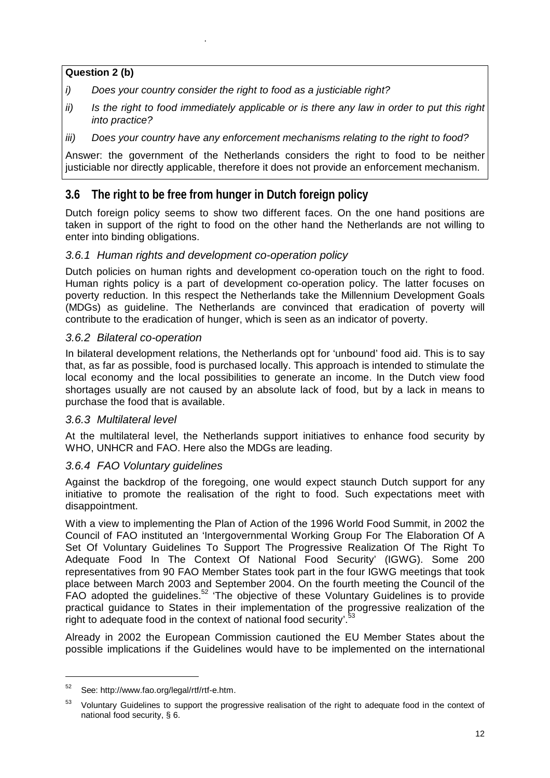### **Question 2 (b)**

.

- *i) Does your country consider the right to food as a justiciable right?*
- *ii*) Is the right to food immediately applicable or is there any law in order to put this right *into practice?*
- *iii) Does your country have any enforcement mechanisms relating to the right to food?*

Answer: the government of the Netherlands considers the right to food to be neither justiciable nor directly applicable, therefore it does not provide an enforcement mechanism.

# **3.6 The right to be free from hunger in Dutch foreign policy**

Dutch foreign policy seems to show two different faces. On the one hand positions are taken in support of the right to food on the other hand the Netherlands are not willing to enter into binding obligations.

### *3.6.1 Human rights and development co-operation policy*

Dutch policies on human rights and development co-operation touch on the right to food. Human rights policy is a part of development co-operation policy. The latter focuses on poverty reduction. In this respect the Netherlands take the Millennium Development Goals (MDGs) as guideline. The Netherlands are convinced that eradication of poverty will contribute to the eradication of hunger, which is seen as an indicator of poverty.

### *3.6.2 Bilateral co-operation*

In bilateral development relations, the Netherlands opt for 'unbound' food aid. This is to say that, as far as possible, food is purchased locally. This approach is intended to stimulate the local economy and the local possibilities to generate an income. In the Dutch view food shortages usually are not caused by an absolute lack of food, but by a lack in means to purchase the food that is available.

#### *3.6.3 Multilateral level*

At the multilateral level, the Netherlands support initiatives to enhance food security by WHO, UNHCR and FAO. Here also the MDGs are leading.

### *3.6.4 FAO Voluntary guidelines*

Against the backdrop of the foregoing, one would expect staunch Dutch support for any initiative to promote the realisation of the right to food. Such expectations meet with disappointment.

With a view to implementing the Plan of Action of the 1996 World Food Summit, in 2002 the Council of FAO instituted an 'Intergovernmental Working Group For The Elaboration Of A Set Of Voluntary Guidelines To Support The Progressive Realization Of The Right To Adequate Food In The Context Of National Food Security' (IGWG). Some 200 representatives from 90 FAO Member States took part in the four IGWG meetings that took place between March 2003 and September 2004. On the fourth meeting the Council of the FAO adopted the guidelines.52 'The objective of these Voluntary Guidelines is to provide practical guidance to States in their implementation of the progressive realization of the right to adequate food in the context of national food security'.<sup>5</sup>

Already in 2002 the European Commission cautioned the EU Member States about the possible implications if the Guidelines would have to be implemented on the international

<sup>52</sup> See: http://www.fao.org/legal/rtf/rtf-e.htm.

<sup>&</sup>lt;sup>53</sup> Voluntary Guidelines to support the progressive realisation of the right to adequate food in the context of national food security, § 6.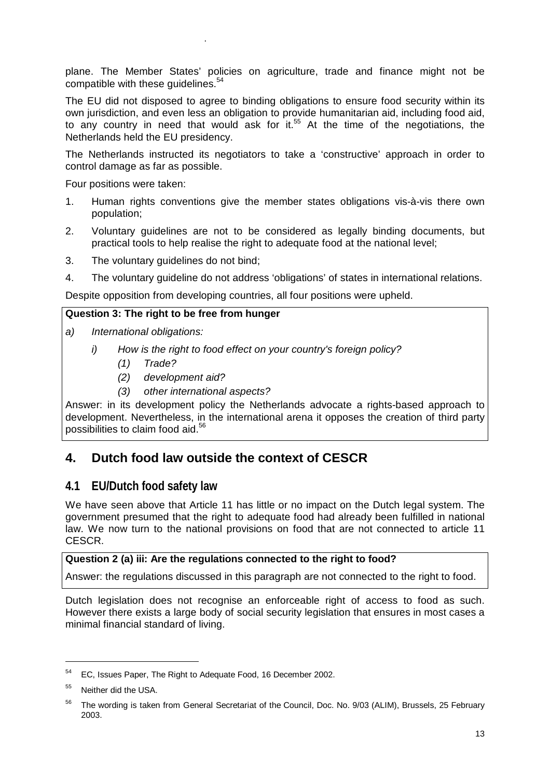plane. The Member States' policies on agriculture, trade and finance might not be compatible with these guidelines.<sup>5</sup>

The EU did not disposed to agree to binding obligations to ensure food security within its own jurisdiction, and even less an obligation to provide humanitarian aid, including food aid, to any country in need that would ask for it.<sup>55</sup> At the time of the negotiations, the Netherlands held the EU presidency.

The Netherlands instructed its negotiators to take a 'constructive' approach in order to control damage as far as possible.

Four positions were taken:

.

- 1. Human rights conventions give the member states obligations vis-à-vis there own population;
- 2. Voluntary guidelines are not to be considered as legally binding documents, but practical tools to help realise the right to adequate food at the national level;
- 3. The voluntary guidelines do not bind;
- 4. The voluntary guideline do not address 'obligations' of states in international relations.

Despite opposition from developing countries, all four positions were upheld.

#### **Question 3: The right to be free from hunger**

- *a) International obligations:* 
	- *i) How is the right to food effect on your country's foreign policy?* 
		- *(1) Trade?*
		- *(2) development aid?*
		- *(3) other international aspects?*

Answer: in its development policy the Netherlands advocate a rights-based approach to development. Nevertheless, in the international arena it opposes the creation of third party possibilities to claim food aid.<sup>56</sup>

# **4. Dutch food law outside the context of CESCR**

### **4.1 EU/Dutch food safety law**

We have seen above that Article 11 has little or no impact on the Dutch legal system. The government presumed that the right to adequate food had already been fulfilled in national law. We now turn to the national provisions on food that are not connected to article 11 CESCR.

#### **Question 2 (a) iii: Are the regulations connected to the right to food?**

Answer: the regulations discussed in this paragraph are not connected to the right to food.

Dutch legislation does not recognise an enforceable right of access to food as such. However there exists a large body of social security legislation that ensures in most cases a minimal financial standard of living.

 $\overline{a}$ 

<sup>54</sup> EC, Issues Paper, The Right to Adequate Food, 16 December 2002.

Neither did the USA.

<sup>&</sup>lt;sup>56</sup> The wording is taken from General Secretariat of the Council, Doc. No. 9/03 (ALIM), Brussels, 25 February 2003.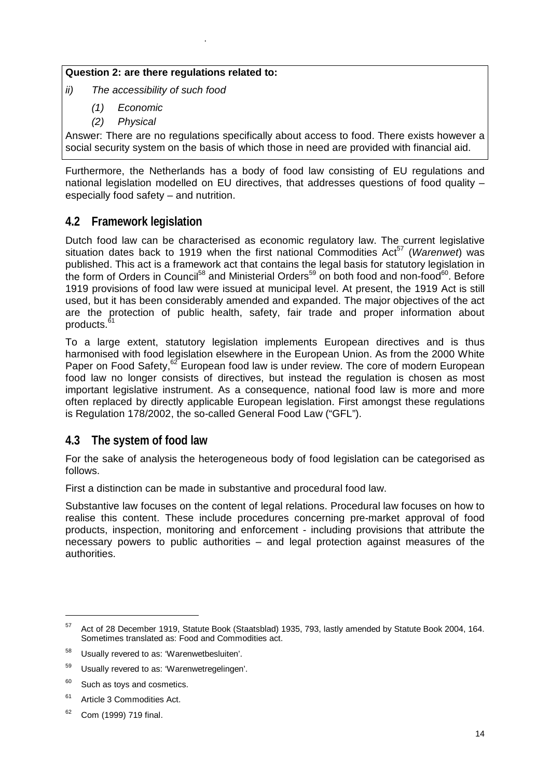### **Question 2: are there regulations related to:**

*ii) The accessibility of such food* 

.

- *(1) Economic*
- *(2) Physical*

Answer: There are no regulations specifically about access to food. There exists however a social security system on the basis of which those in need are provided with financial aid.

Furthermore, the Netherlands has a body of food law consisting of EU regulations and national legislation modelled on EU directives, that addresses questions of food quality – especially food safety – and nutrition.

# **4.2 Framework legislation**

Dutch food law can be characterised as economic regulatory law. The current legislative situation dates back to 1919 when the first national Commodities Act<sup>57</sup> (Warenwet) was published. This act is a framework act that contains the legal basis for statutory legislation in the form of Orders in Council<sup>58</sup> and Ministerial Orders<sup>59</sup> on both food and non-food<sup>60</sup>. Before 1919 provisions of food law were issued at municipal level. At present, the 1919 Act is still used, but it has been considerably amended and expanded. The major objectives of the act are the protection of public health, safety, fair trade and proper information about products.<sup>6</sup>

To a large extent, statutory legislation implements European directives and is thus harmonised with food legislation elsewhere in the European Union. As from the 2000 White Paper on Food Safety,<sup>62</sup> European food law is under review. The core of modern European food law no longer consists of directives, but instead the regulation is chosen as most important legislative instrument. As a consequence, national food law is more and more often replaced by directly applicable European legislation. First amongst these regulations is Regulation 178/2002, the so-called General Food Law ("GFL").

## **4.3 The system of food law**

For the sake of analysis the heterogeneous body of food legislation can be categorised as follows.

First a distinction can be made in substantive and procedural food law.

Substantive law focuses on the content of legal relations. Procedural law focuses on how to realise this content. These include procedures concerning pre-market approval of food products, inspection, monitoring and enforcement - including provisions that attribute the necessary powers to public authorities – and legal protection against measures of the authorities.

<sup>57</sup> Act of 28 December 1919, Statute Book (Staatsblad) 1935, 793, lastly amended by Statute Book 2004, 164. Sometimes translated as: Food and Commodities act.

<sup>58</sup> Usually revered to as: 'Warenwetbesluiten'.

Usually revered to as: 'Warenwetregelingen'.

 $60$  Such as tovs and cosmetics.

<sup>&</sup>lt;sup>61</sup> Article 3 Commodities Act.

 $62$  Com (1999) 719 final.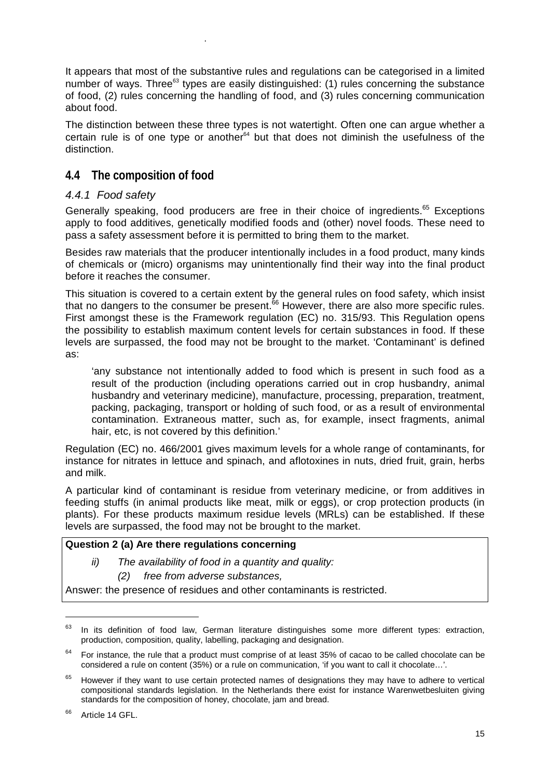It appears that most of the substantive rules and regulations can be categorised in a limited number of ways. Three<sup>63</sup> types are easily distinguished: (1) rules concerning the substance of food, (2) rules concerning the handling of food, and (3) rules concerning communication about food.

The distinction between these three types is not watertight. Often one can argue whether a certain rule is of one type or another $64$  but that does not diminish the usefulness of the distinction.

# **4.4 The composition of food**

.

### *4.4.1 Food safety*

Generally speaking, food producers are free in their choice of ingredients.<sup>65</sup> Exceptions apply to food additives, genetically modified foods and (other) novel foods. These need to pass a safety assessment before it is permitted to bring them to the market.

Besides raw materials that the producer intentionally includes in a food product, many kinds of chemicals or (micro) organisms may unintentionally find their way into the final product before it reaches the consumer.

This situation is covered to a certain extent by the general rules on food safety, which insist that no dangers to the consumer be present.<sup>66</sup> However, there are also more specific rules. First amongst these is the Framework regulation (EC) no. 315/93. This Regulation opens the possibility to establish maximum content levels for certain substances in food. If these levels are surpassed, the food may not be brought to the market. 'Contaminant' is defined as:

'any substance not intentionally added to food which is present in such food as a result of the production (including operations carried out in crop husbandry, animal husbandry and veterinary medicine), manufacture, processing, preparation, treatment, packing, packaging, transport or holding of such food, or as a result of environmental contamination. Extraneous matter, such as, for example, insect fragments, animal hair, etc, is not covered by this definition.'

Regulation (EC) no. 466/2001 gives maximum levels for a whole range of contaminants, for instance for nitrates in lettuce and spinach, and aflotoxines in nuts, dried fruit, grain, herbs and milk.

A particular kind of contaminant is residue from veterinary medicine, or from additives in feeding stuffs (in animal products like meat, milk or eggs), or crop protection products (in plants). For these products maximum residue levels (MRLs) can be established. If these levels are surpassed, the food may not be brought to the market.

### **Question 2 (a) Are there regulations concerning**

*ii) The availability of food in a quantity and quality:* 

*(2) free from adverse substances,* 

Answer: the presence of residues and other contaminants is restricted.

 $63$  In its definition of food law, German literature distinguishes some more different types: extraction, production, composition, quality, labelling, packaging and designation.

 $64$  For instance, the rule that a product must comprise of at least 35% of cacao to be called chocolate can be considered a rule on content (35%) or a rule on communication, 'if you want to call it chocolate…'.

However if they want to use certain protected names of designations they may have to adhere to vertical compositional standards legislation. In the Netherlands there exist for instance Warenwetbesluiten giving standards for the composition of honey, chocolate, jam and bread.

<sup>&</sup>lt;sup>66</sup> Article 14 GFL.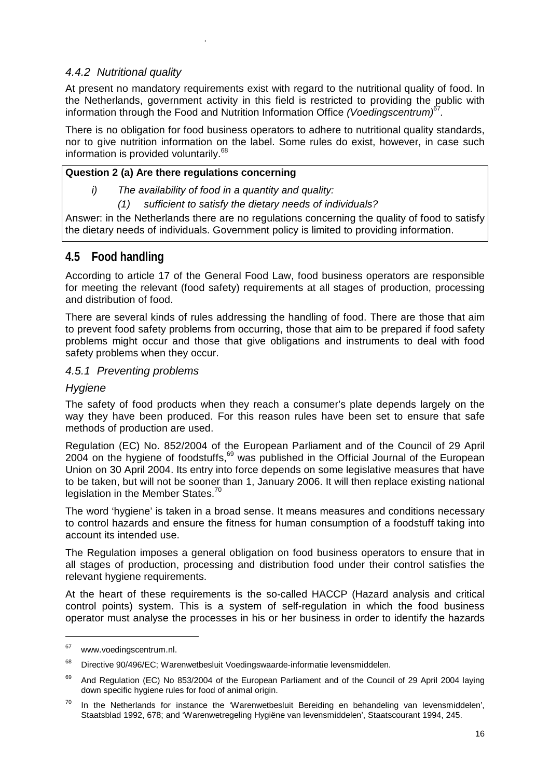### *4.4.2 Nutritional quality*

.

At present no mandatory requirements exist with regard to the nutritional quality of food. In the Netherlands, government activity in this field is restricted to providing the public with information through the Food and Nutrition Information Office *(Voedingscentrum)*<sup>67</sup>*.*

There is no obligation for food business operators to adhere to nutritional quality standards, nor to give nutrition information on the label. Some rules do exist, however, in case such information is provided voluntarily.<sup>68</sup>

### **Question 2 (a) Are there regulations concerning**

- *i) The availability of food in a quantity and quality:* 
	- *(1) sufficient to satisfy the dietary needs of individuals?*

Answer: in the Netherlands there are no regulations concerning the quality of food to satisfy the dietary needs of individuals. Government policy is limited to providing information.

## **4.5 Food handling**

According to article 17 of the General Food Law, food business operators are responsible for meeting the relevant (food safety) requirements at all stages of production, processing and distribution of food.

There are several kinds of rules addressing the handling of food. There are those that aim to prevent food safety problems from occurring, those that aim to be prepared if food safety problems might occur and those that give obligations and instruments to deal with food safety problems when they occur.

### *4.5.1 Preventing problems*

### *Hygiene*

The safety of food products when they reach a consumer's plate depends largely on the way they have been produced. For this reason rules have been set to ensure that safe methods of production are used.

Regulation (EC) No. 852/2004 of the European Parliament and of the Council of 29 April 2004 on the hygiene of foodstuffs,<sup>69</sup> was published in the Official Journal of the European Union on 30 April 2004. Its entry into force depends on some legislative measures that have to be taken, but will not be sooner than 1, January 2006. It will then replace existing national legislation in the Member States.<sup>70</sup>

The word 'hygiene' is taken in a broad sense. It means measures and conditions necessary to control hazards and ensure the fitness for human consumption of a foodstuff taking into account its intended use.

The Regulation imposes a general obligation on food business operators to ensure that in all stages of production, processing and distribution food under their control satisfies the relevant hygiene requirements.

At the heart of these requirements is the so-called HACCP (Hazard analysis and critical control points) system. This is a system of self-regulation in which the food business operator must analyse the processes in his or her business in order to identify the hazards

<sup>&</sup>lt;sup>67</sup> www.voedingscentrum.nl.

<sup>68</sup> Directive 90/496/EC; Warenwetbesluit Voedingswaarde-informatie levensmiddelen.

<sup>&</sup>lt;sup>69</sup> And Regulation (EC) No 853/2004 of the European Parliament and of the Council of 29 April 2004 laying down specific hygiene rules for food of animal origin.

 $70$  In the Netherlands for instance the 'Warenwetbesluit Bereiding en behandeling van levensmiddelen'. Staatsblad 1992, 678; and 'Warenwetregeling Hygiëne van levensmiddelen', Staatscourant 1994, 245.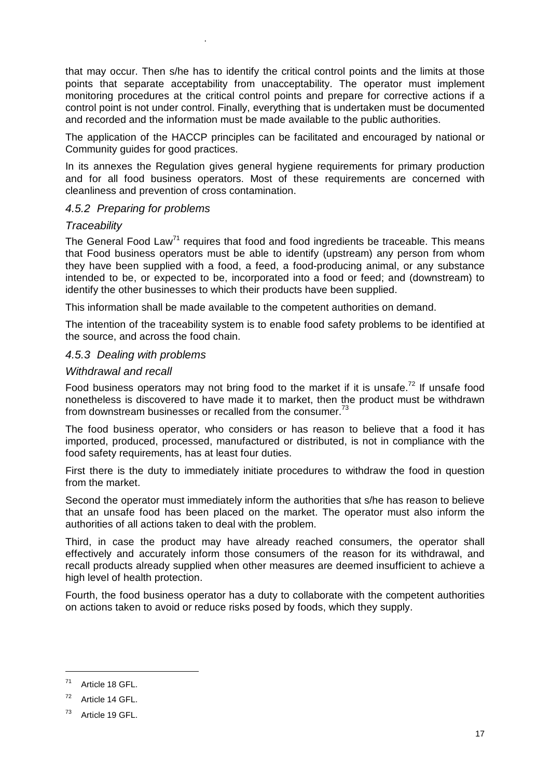that may occur. Then s/he has to identify the critical control points and the limits at those points that separate acceptability from unacceptability. The operator must implement monitoring procedures at the critical control points and prepare for corrective actions if a control point is not under control. Finally, everything that is undertaken must be documented and recorded and the information must be made available to the public authorities.

The application of the HACCP principles can be facilitated and encouraged by national or Community guides for good practices.

In its annexes the Regulation gives general hygiene requirements for primary production and for all food business operators. Most of these requirements are concerned with cleanliness and prevention of cross contamination.

#### *4.5.2 Preparing for problems*

.

#### *Traceability*

The General Food Law<sup>71</sup> requires that food and food ingredients be traceable. This means that Food business operators must be able to identify (upstream) any person from whom they have been supplied with a food, a feed, a food-producing animal, or any substance intended to be, or expected to be, incorporated into a food or feed; and (downstream) to identify the other businesses to which their products have been supplied.

This information shall be made available to the competent authorities on demand.

The intention of the traceability system is to enable food safety problems to be identified at the source, and across the food chain.

#### *4.5.3 Dealing with problems*

#### *Withdrawal and recall*

Food business operators may not bring food to the market if it is unsafe.<sup>72</sup> If unsafe food nonetheless is discovered to have made it to market, then the product must be withdrawn from downstream businesses or recalled from the consumer.<sup>73</sup>

The food business operator, who considers or has reason to believe that a food it has imported, produced, processed, manufactured or distributed, is not in compliance with the food safety requirements, has at least four duties.

First there is the duty to immediately initiate procedures to withdraw the food in question from the market.

Second the operator must immediately inform the authorities that s/he has reason to believe that an unsafe food has been placed on the market. The operator must also inform the authorities of all actions taken to deal with the problem.

Third, in case the product may have already reached consumers, the operator shall effectively and accurately inform those consumers of the reason for its withdrawal, and recall products already supplied when other measures are deemed insufficient to achieve a high level of health protection.

Fourth, the food business operator has a duty to collaborate with the competent authorities on actions taken to avoid or reduce risks posed by foods, which they supply.

<sup>&</sup>lt;sup>71</sup> Article 18 GFL

<sup>72</sup> Article 14 GFL.

<sup>&</sup>lt;sup>73</sup> Article 19 GFL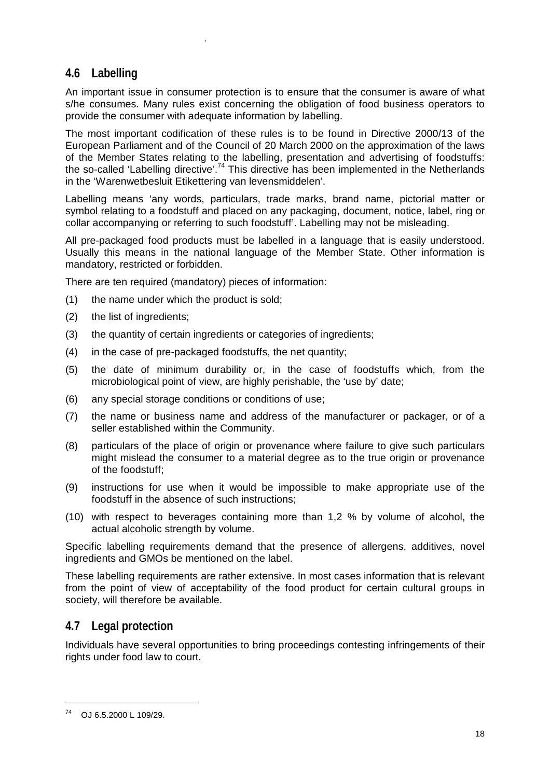# **4.6 Labelling**

.

An important issue in consumer protection is to ensure that the consumer is aware of what s/he consumes. Many rules exist concerning the obligation of food business operators to provide the consumer with adequate information by labelling.

The most important codification of these rules is to be found in Directive 2000/13 of the European Parliament and of the Council of 20 March 2000 on the approximation of the laws of the Member States relating to the labelling, presentation and advertising of foodstuffs: the so-called 'Labelling directive'.<sup>74</sup> This directive has been implemented in the Netherlands in the 'Warenwetbesluit Etikettering van levensmiddelen'.

Labelling means 'any words, particulars, trade marks, brand name, pictorial matter or symbol relating to a foodstuff and placed on any packaging, document, notice, label, ring or collar accompanying or referring to such foodstuff'. Labelling may not be misleading.

All pre-packaged food products must be labelled in a language that is easily understood. Usually this means in the national language of the Member State. Other information is mandatory, restricted or forbidden.

There are ten required (mandatory) pieces of information:

- (1) the name under which the product is sold;
- (2) the list of ingredients;
- (3) the quantity of certain ingredients or categories of ingredients;
- (4) in the case of pre-packaged foodstuffs, the net quantity;
- (5) the date of minimum durability or, in the case of foodstuffs which, from the microbiological point of view, are highly perishable, the 'use by' date;
- (6) any special storage conditions or conditions of use;
- (7) the name or business name and address of the manufacturer or packager, or of a seller established within the Community.
- (8) particulars of the place of origin or provenance where failure to give such particulars might mislead the consumer to a material degree as to the true origin or provenance of the foodstuff;
- (9) instructions for use when it would be impossible to make appropriate use of the foodstuff in the absence of such instructions;
- (10) with respect to beverages containing more than 1,2 % by volume of alcohol, the actual alcoholic strength by volume.

Specific labelling requirements demand that the presence of allergens, additives, novel ingredients and GMOs be mentioned on the label.

These labelling requirements are rather extensive. In most cases information that is relevant from the point of view of acceptability of the food product for certain cultural groups in society, will therefore be available.

# **4.7 Legal protection**

Individuals have several opportunities to bring proceedings contesting infringements of their rights under food law to court.

<sup>74</sup> OJ 6.5.2000 L 109/29.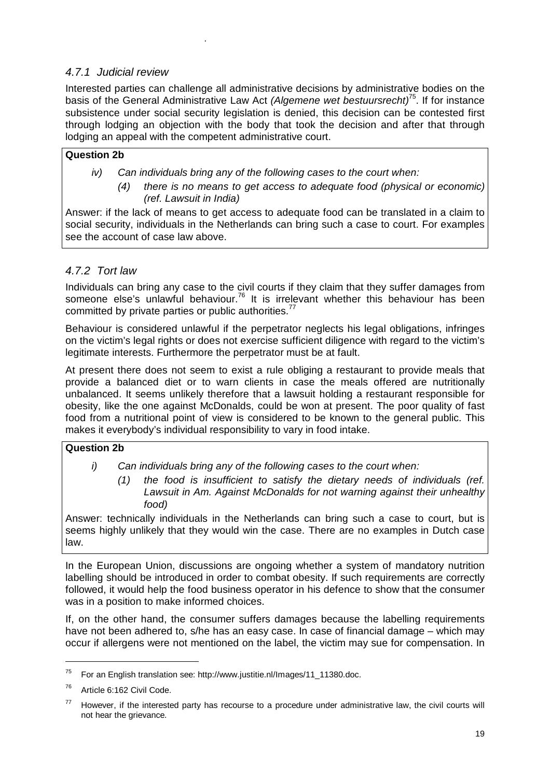### *4.7.1 Judicial review*

.

Interested parties can challenge all administrative decisions by administrative bodies on the basis of the General Administrative Law Act *(Algemene wet bestuursrecht)*75. If for instance subsistence under social security legislation is denied, this decision can be contested first through lodging an objection with the body that took the decision and after that through lodging an appeal with the competent administrative court.

### **Question 2b**

- *iv) Can individuals bring any of the following cases to the court when:* 
	- *(4) there is no means to get access to adequate food (physical or economic) (ref. Lawsuit in India)*

Answer: if the lack of means to get access to adequate food can be translated in a claim to social security, individuals in the Netherlands can bring such a case to court. For examples see the account of case law above.

### *4.7.2 Tort law*

Individuals can bring any case to the civil courts if they claim that they suffer damages from someone else's unlawful behaviour.<sup>76</sup> It is irrelevant whether this behaviour has been committed by private parties or public authorities.<sup>77</sup>

Behaviour is considered unlawful if the perpetrator neglects his legal obligations, infringes on the victim's legal rights or does not exercise sufficient diligence with regard to the victim's legitimate interests. Furthermore the perpetrator must be at fault.

At present there does not seem to exist a rule obliging a restaurant to provide meals that provide a balanced diet or to warn clients in case the meals offered are nutritionally unbalanced. It seems unlikely therefore that a lawsuit holding a restaurant responsible for obesity, like the one against McDonalds, could be won at present. The poor quality of fast food from a nutritional point of view is considered to be known to the general public. This makes it everybody's individual responsibility to vary in food intake.

#### **Question 2b**

- *i) Can individuals bring any of the following cases to the court when:* 
	- *(1) the food is insufficient to satisfy the dietary needs of individuals (ref. Lawsuit in Am. Against McDonalds for not warning against their unhealthy food)*

Answer: technically individuals in the Netherlands can bring such a case to court, but is seems highly unlikely that they would win the case. There are no examples in Dutch case law.

In the European Union, discussions are ongoing whether a system of mandatory nutrition labelling should be introduced in order to combat obesity. If such requirements are correctly followed, it would help the food business operator in his defence to show that the consumer was in a position to make informed choices.

If, on the other hand, the consumer suffers damages because the labelling requirements have not been adhered to, s/he has an easy case. In case of financial damage – which may occur if allergens were not mentioned on the label, the victim may sue for compensation. In

 $\overline{a}$ 

 $75$  For an English translation see: http://www.justitie.nl/Images/11\_11380.doc.

<sup>76</sup> Article 6:162 Civil Code.

 $77$  However, if the interested party has recourse to a procedure under administrative law, the civil courts will not hear the grievance.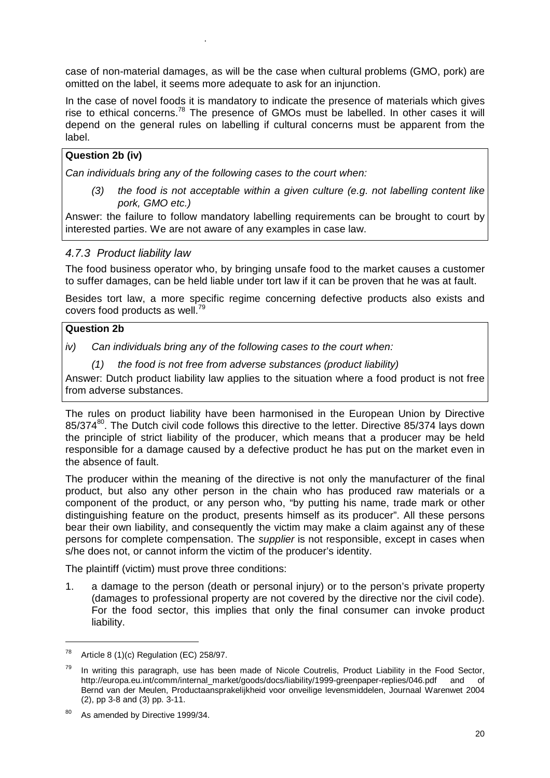case of non-material damages, as will be the case when cultural problems (GMO, pork) are omitted on the label, it seems more adequate to ask for an injunction.

In the case of novel foods it is mandatory to indicate the presence of materials which gives rise to ethical concerns.<sup>78</sup> The presence of GMOs must be labelled. In other cases it will depend on the general rules on labelling if cultural concerns must be apparent from the label.

### **Question 2b (iv)**

*Can individuals bring any of the following cases to the court when:* 

*(3) the food is not acceptable within a given culture (e.g. not labelling content like pork, GMO etc.)* 

Answer: the failure to follow mandatory labelling requirements can be brought to court by interested parties. We are not aware of any examples in case law.

### *4.7.3 Product liability law*

.

The food business operator who, by bringing unsafe food to the market causes a customer to suffer damages, can be held liable under tort law if it can be proven that he was at fault.

Besides tort law, a more specific regime concerning defective products also exists and covers food products as well.<sup>79</sup>

#### **Question 2b**

*iv) Can individuals bring any of the following cases to the court when:* 

*(1) the food is not free from adverse substances (product liability)* 

Answer: Dutch product liability law applies to the situation where a food product is not free from adverse substances.

The rules on product liability have been harmonised in the European Union by Directive 85/374<sup>80</sup>. The Dutch civil code follows this directive to the letter. Directive 85/374 lays down the principle of strict liability of the producer, which means that a producer may be held responsible for a damage caused by a defective product he has put on the market even in the absence of fault.

The producer within the meaning of the directive is not only the manufacturer of the final product, but also any other person in the chain who has produced raw materials or a component of the product, or any person who, "by putting his name, trade mark or other distinguishing feature on the product, presents himself as its producer". All these persons bear their own liability, and consequently the victim may make a claim against any of these persons for complete compensation. The *supplier* is not responsible, except in cases when s/he does not, or cannot inform the victim of the producer's identity.

The plaintiff (victim) must prove three conditions:

1. a damage to the person (death or personal injury) or to the person's private property (damages to professional property are not covered by the directive nor the civil code). For the food sector, this implies that only the final consumer can invoke product liability.

<sup>&</sup>lt;sup>78</sup> Article 8 (1)(c) Regulation (EC) 258/97.

 $79$  In writing this paragraph, use has been made of Nicole Coutrelis, Product Liability in the Food Sector, http://europa.eu.int/comm/internal\_market/goods/docs/liability/1999-greenpaper-replies/046.pdf and of Bernd van der Meulen, Productaansprakelijkheid voor onveilige levensmiddelen, Journaal Warenwet 2004 (2), pp 3-8 and (3) pp. 3-11.

<sup>80</sup> As amended by Directive 1999/34.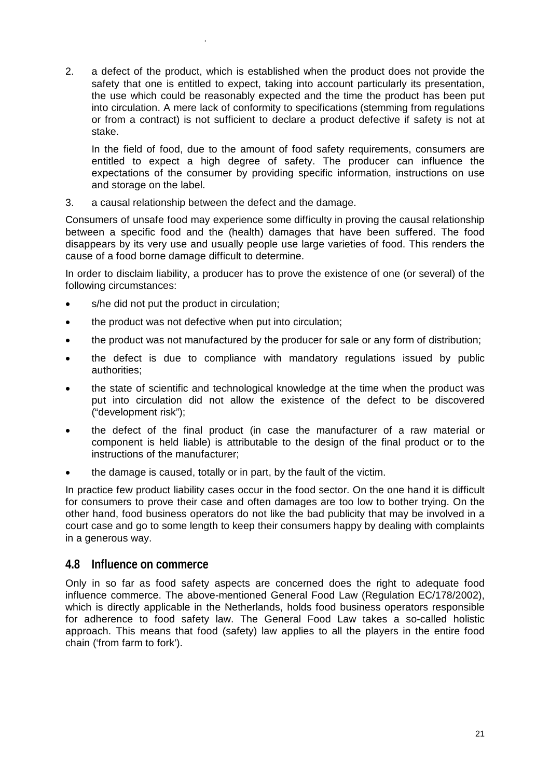2. a defect of the product, which is established when the product does not provide the safety that one is entitled to expect, taking into account particularly its presentation, the use which could be reasonably expected and the time the product has been put into circulation. A mere lack of conformity to specifications (stemming from regulations or from a contract) is not sufficient to declare a product defective if safety is not at stake.

 In the field of food, due to the amount of food safety requirements, consumers are entitled to expect a high degree of safety. The producer can influence the expectations of the consumer by providing specific information, instructions on use and storage on the label.

3. a causal relationship between the defect and the damage.

Consumers of unsafe food may experience some difficulty in proving the causal relationship between a specific food and the (health) damages that have been suffered. The food disappears by its very use and usually people use large varieties of food. This renders the cause of a food borne damage difficult to determine.

In order to disclaim liability, a producer has to prove the existence of one (or several) of the following circumstances:

s/he did not put the product in circulation;

.

- the product was not defective when put into circulation;
- the product was not manufactured by the producer for sale or any form of distribution;
- the defect is due to compliance with mandatory regulations issued by public authorities;
- the state of scientific and technological knowledge at the time when the product was put into circulation did not allow the existence of the defect to be discovered ("development risk");
- the defect of the final product (in case the manufacturer of a raw material or component is held liable) is attributable to the design of the final product or to the instructions of the manufacturer;
- the damage is caused, totally or in part, by the fault of the victim.

In practice few product liability cases occur in the food sector. On the one hand it is difficult for consumers to prove their case and often damages are too low to bother trying. On the other hand, food business operators do not like the bad publicity that may be involved in a court case and go to some length to keep their consumers happy by dealing with complaints in a generous way.

### **4.8 Influence on commerce**

Only in so far as food safety aspects are concerned does the right to adequate food influence commerce. The above-mentioned General Food Law (Regulation EC/178/2002), which is directly applicable in the Netherlands, holds food business operators responsible for adherence to food safety law. The General Food Law takes a so-called holistic approach. This means that food (safety) law applies to all the players in the entire food chain ('from farm to fork').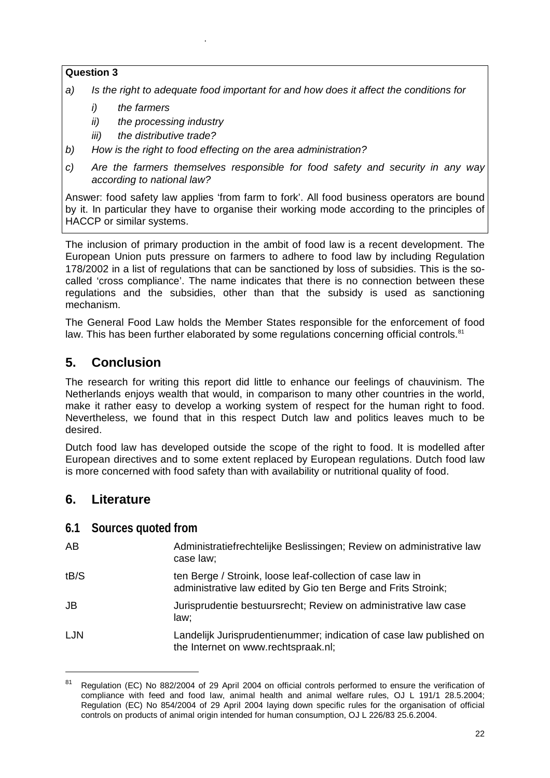### **Question 3**

- *a) Is the right to adequate food important for and how does it affect the conditions for* 
	- *i) the farmers*

.

- *ii) the processing industry*
- *iii) the distributive trade?*
- *b) How is the right to food effecting on the area administration?*
- *c) Are the farmers themselves responsible for food safety and security in any way according to national law?*

Answer: food safety law applies 'from farm to fork'. All food business operators are bound by it. In particular they have to organise their working mode according to the principles of HACCP or similar systems.

The inclusion of primary production in the ambit of food law is a recent development. The European Union puts pressure on farmers to adhere to food law by including Regulation 178/2002 in a list of regulations that can be sanctioned by loss of subsidies. This is the socalled 'cross compliance'. The name indicates that there is no connection between these regulations and the subsidies, other than that the subsidy is used as sanctioning mechanism.

The General Food Law holds the Member States responsible for the enforcement of food law. This has been further elaborated by some regulations concerning official controls.<sup>81</sup>

# **5. Conclusion**

The research for writing this report did little to enhance our feelings of chauvinism. The Netherlands enjoys wealth that would, in comparison to many other countries in the world, make it rather easy to develop a working system of respect for the human right to food. Nevertheless, we found that in this respect Dutch law and politics leaves much to be desired.

Dutch food law has developed outside the scope of the right to food. It is modelled after European directives and to some extent replaced by European regulations. Dutch food law is more concerned with food safety than with availability or nutritional quality of food.

# **6. Literature**

### **6.1 Sources quoted from**

| AB         | Administratiefrechtelijke Beslissingen; Review on administrative law<br>case law;                                          |
|------------|----------------------------------------------------------------------------------------------------------------------------|
| tB/S       | ten Berge / Stroink, loose leaf-collection of case law in<br>administrative law edited by Gio ten Berge and Frits Stroink; |
| JB         | Jurisprudentie bestuursrecht; Review on administrative law case<br>law;                                                    |
| <b>LJN</b> | Landelijk Jurisprudentienummer; indication of case law published on<br>the Internet on www.rechtspraak.nl;                 |

<sup>&</sup>lt;sup>81</sup> Regulation (EC) No 882/2004 of 29 April 2004 on official controls performed to ensure the verification of compliance with feed and food law, animal health and animal welfare rules, OJ L 191/1 28.5.2004; Regulation (EC) No 854/2004 of 29 April 2004 laying down specific rules for the organisation of official controls on products of animal origin intended for human consumption, OJ L 226/83 25.6.2004.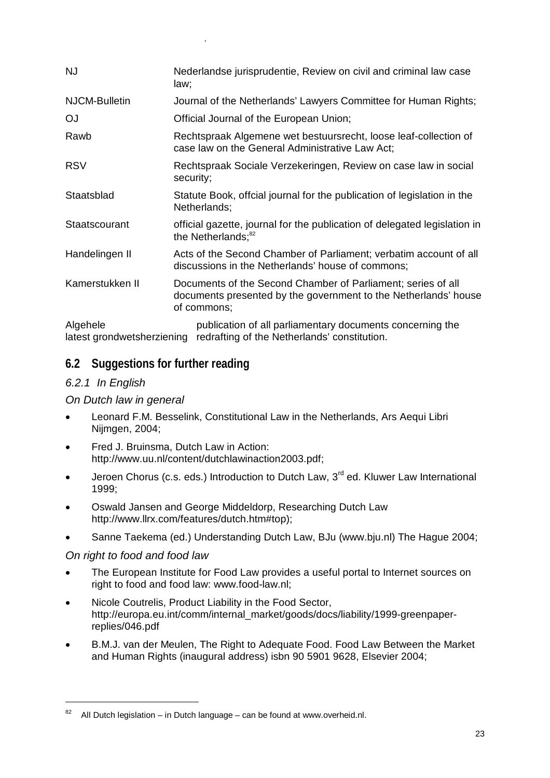| <b>NJ</b>                              | Nederlandse jurisprudentie, Review on civil and criminal law case<br>law;                                                                      |
|----------------------------------------|------------------------------------------------------------------------------------------------------------------------------------------------|
| <b>NJCM-Bulletin</b>                   | Journal of the Netherlands' Lawyers Committee for Human Rights;                                                                                |
| <b>OJ</b>                              | Official Journal of the European Union;                                                                                                        |
| Rawb                                   | Rechtspraak Algemene wet bestuursrecht, loose leaf-collection of<br>case law on the General Administrative Law Act;                            |
| <b>RSV</b>                             | Rechtspraak Sociale Verzekeringen, Review on case law in social<br>security;                                                                   |
| Staatsblad                             | Statute Book, offcial journal for the publication of legislation in the<br>Netherlands;                                                        |
| Staatscourant                          | official gazette, journal for the publication of delegated legislation in<br>the Netherlands; <sup>82</sup>                                    |
| Handelingen II                         | Acts of the Second Chamber of Parliament; verbatim account of all<br>discussions in the Netherlands' house of commons;                         |
| Kamerstukken II                        | Documents of the Second Chamber of Parliament; series of all<br>documents presented by the government to the Netherlands' house<br>of commons; |
| Algehele<br>latest grondwetsherziening | publication of all parliamentary documents concerning the<br>redrafting of the Netherlands' constitution.                                      |

# **6.2 Suggestions for further reading**

### *6.2.1 In English*

## *On Dutch law in general*

.

- Leonard F.M. Besselink, Constitutional Law in the Netherlands, Ars Aequi Libri Nijmgen, 2004;
- Fred J. Bruinsma, Dutch Law in Action: http://www.uu.nl/content/dutchlawinaction2003.pdf;
- Jeroen Chorus (c.s. eds.) Introduction to Dutch Law,  $3<sup>rd</sup>$  ed. Kluwer Law International 1999;
- Oswald Jansen and George Middeldorp, Researching Dutch Law http://www.llrx.com/features/dutch.htm#top);
- Sanne Taekema (ed.) Understanding Dutch Law, BJu (www.bju.nl) The Hague 2004;

### *On right to food and food law*

- The European Institute for Food Law provides a useful portal to Internet sources on right to food and food law: www.food-law.nl;
- Nicole Coutrelis, Product Liability in the Food Sector, http://europa.eu.int/comm/internal\_market/goods/docs/liability/1999-greenpaperreplies/046.pdf
- B.M.J. van der Meulen, The Right to Adequate Food. Food Law Between the Market and Human Rights (inaugural address) isbn 90 5901 9628, Elsevier 2004;

 $82$  All Dutch legislation – in Dutch language – can be found at www.overheid.nl.